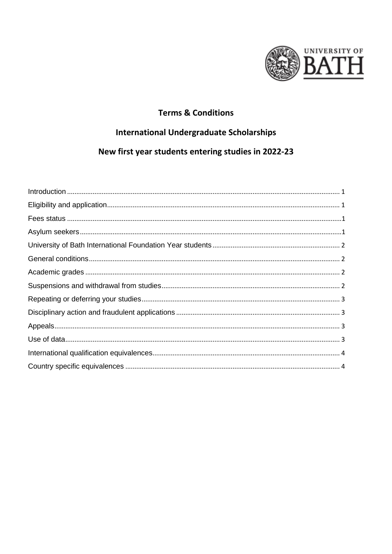

#### **Terms & Conditions**

#### **International Undergraduate Scholarships**

# New first year students entering studies in 2022-23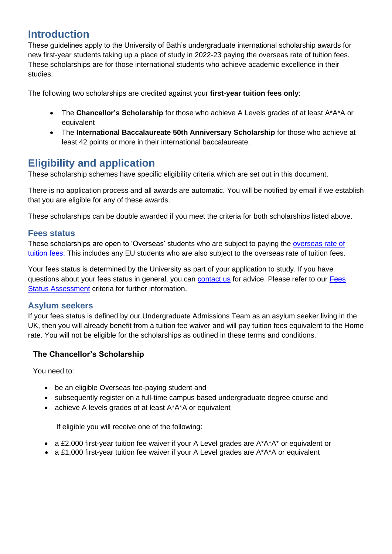# <span id="page-1-0"></span>**Introduction**

These guidelines apply to the University of Bath's undergraduate international scholarship awards for new first-year students taking up a place of study in 2022-23 paying the overseas rate of tuition fees. These scholarships are for those international students who achieve academic excellence in their studies.

The following two scholarships are credited against your **first-year tuition fees only**:

- The **Chancellor's Scholarship** for those who achieve A Levels grades of at least A\*A\*A or equivalent
- The **International Baccalaureate 50th Anniversary Scholarship** for those who achieve at least 42 points or more in their international baccalaureate.

### <span id="page-1-1"></span>**Eligibility and application**

These scholarship schemes have specific eligibility criteria which are set out in this document.

There is no application process and all awards are automatic. You will be notified by email if we establish that you are eligible for any of these awards.

These scholarships can be double awarded if you meet the criteria for both scholarships listed above.

#### <span id="page-1-2"></span>**Fees status**

These scholarships are open to 'Overseas' students who are subject to paying the [overseas rate of](https://www.bath.ac.uk/corporate-information/tuition-fees-for-undergraduate-students-starting-in-2022/)  [tuition fees.](https://www.bath.ac.uk/corporate-information/tuition-fees-for-undergraduate-students-starting-in-2022/) This includes any EU students who are also subject to the overseas rate of tuition fees.

Your fees status is determined by the University as part of your application to study. If you have questions about your fees status in general, you can [contact us](mailto:admissions@bath.ac.uk) for advice. Please refer to our [Fees](http://www.bath.ac.uk/guides/understanding-your-tuition-fee-status/)  [Status Assessment](http://www.bath.ac.uk/guides/understanding-your-tuition-fee-status/) criteria for further information.

#### <span id="page-1-3"></span>**Asylum seekers**

If your fees status is defined by our Undergraduate Admissions Team as an asylum seeker living in the UK, then you will already benefit from a tuition fee waiver and will pay tuition fees equivalent to the Home rate. You will not be eligible for the scholarships as outlined in these terms and conditions.

#### **The Chancellor's Scholarship**

You need to:

- be an eligible Overseas fee-paying student and
- subsequently register on a full-time campus based undergraduate degree course and
- achieve A levels grades of at least A\*A\*A or equivalent

If eligible you will receive one of the following:

- a £2,000 first-year tuition fee waiver if your A Level grades are A\*A\*A\* or equivalent or
- a £1,000 first-year tuition fee waiver if your A Level grades are A\*A\*A or equivalent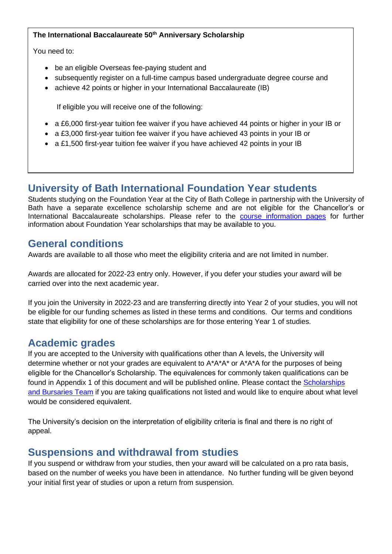#### **The International Baccalaureate 50th Anniversary Scholarship**

You need to:

- be an eligible Overseas fee-paying student and
- subsequently register on a full-time campus based undergraduate degree course and
- achieve 42 points or higher in your International Baccalaureate (IB)

If eligible you will receive one of the following:

- a £6,000 first-year tuition fee waiver if you have achieved 44 points or higher in your IB or
- a £3,000 first-year tuition fee waiver if you have achieved 43 points in your IB or
- a £1,500 first-year tuition fee waiver if you have achieved 42 points in your IB

# <span id="page-2-0"></span>**University of Bath International Foundation Year students**

Students studying on the Foundation Year at the City of Bath College in partnership with the University of Bath have a separate excellence scholarship scheme and are not eligible for the Chancellor's or International Baccalaureate scholarships. Please refer to the [course information pages](https://www.bath.ac.uk/courses/foundation-2022/university-of-bath-international-foundation-year/university-of-bath-international-foundation-year-course-licensed-to-bath-college/) for further information about Foundation Year scholarships that may be available to you.

#### <span id="page-2-1"></span>**General conditions**

Awards are available to all those who meet the eligibility criteria and are not limited in number.

Awards are allocated for 2022-23 entry only. However, if you defer your studies your award will be carried over into the next academic year.

If you join the University in 2022-23 and are transferring directly into Year 2 of your studies, you will not be eligible for our funding schemes as listed in these terms and conditions. Our terms and conditions state that eligibility for one of these scholarships are for those entering Year 1 of studies.

### <span id="page-2-2"></span>**Academic grades**

If you are accepted to the University with qualifications other than A levels, the University will determine whether or not your grades are equivalent to  $A^*A^*A^*$  or  $A^*A^*A$  for the purposes of being eligible for the Chancellor's Scholarship. The equivalences for commonly taken qualifications can be found in Appendix 1 of this document and will be published online. Please contact the [Scholarships](mailto:undergraduatefunding@bath.ac.uk)  [and Bursaries Team](mailto:undergraduatefunding@bath.ac.uk) if you are taking qualifications not listed and would like to enquire about what level would be considered equivalent.

The University's decision on the interpretation of eligibility criteria is final and there is no right of appeal.

### <span id="page-2-3"></span>**Suspensions and withdrawal from studies**

If you suspend or withdraw from your studies, then your award will be calculated on a pro rata basis, based on the number of weeks you have been in attendance. No further funding will be given beyond your initial first year of studies or upon a return from suspension.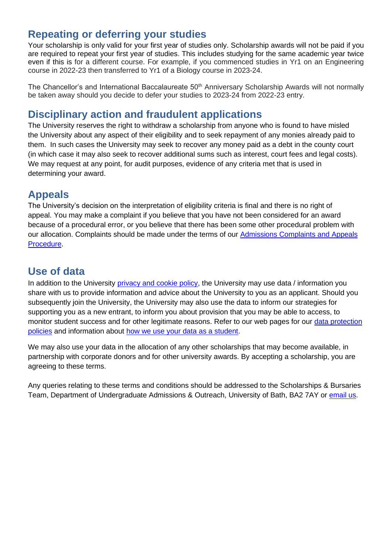# <span id="page-3-0"></span>**Repeating or deferring your studies**

Your scholarship is only valid for your first year of studies only. Scholarship awards will not be paid if you are required to repeat your first year of studies. This includes studying for the same academic year twice even if this is for a different course. For example, if you commenced studies in Yr1 on an Engineering course in 2022-23 then transferred to Yr1 of a Biology course in 2023-24.

The Chancellor's and International Baccalaureate 50<sup>th</sup> Anniversary Scholarship Awards will not normally be taken away should you decide to defer your studies to 2023-24 from 2022-23 entry.

### <span id="page-3-1"></span>**Disciplinary action and fraudulent applications**

The University reserves the right to withdraw a scholarship from anyone who is found to have misled the University about any aspect of their eligibility and to seek repayment of any monies already paid to them. In such cases the University may seek to recover any money paid as a debt in the county court (in which case it may also seek to recover additional sums such as interest, court fees and legal costs). We may request at any point, for audit purposes, evidence of any criteria met that is used in determining your award.

#### <span id="page-3-2"></span>**Appeals**

The University's decision on the interpretation of eligibility criteria is final and there is no right of appeal. You may make a complaint if you believe that you have not been considered for an award because of a procedural error, or you believe that there has been some other procedural problem with our allocation. Complaints should be made under the terms of our [Admissions Complaints and Appeals](http://www.bath.ac.uk/corporate-information/applicant-complaints-and-appeals-procedure/)  [Procedure.](http://www.bath.ac.uk/corporate-information/applicant-complaints-and-appeals-procedure/)

# <span id="page-3-3"></span>**Use of data**

In addition to the University [privacy and cookie policy,](http://www.bath.ac.uk/corporate-information/privacy-and-cookie-policy/) the University may use data / information you share with us to provide information and advice about the University to you as an applicant. Should you subsequently join the University, the University may also use the data to inform our strategies for supporting you as a new entrant, to inform you about provision that you may be able to access, to monitor student success and for other legitimate reasons. Refer to our web pages for our data protection [policies](https://www.bath.ac.uk/guides/data-protection-act/) and information about [how we use your data as a student.](http://www.bath.ac.uk/student-records/dpstatstu.htm)

We may also use your data in the allocation of any other scholarships that may become available, in partnership with corporate donors and for other university awards. By accepting a scholarship, you are agreeing to these terms.

Any queries relating to these terms and conditions should be addressed to the Scholarships & Bursaries Team, Department of Undergraduate Admissions & Outreach, University of Bath, BA2 7AY or [email](mailto:undergraduatefunding@bath.ac.uk?subject=International%20Scholarships%20for%20undergraduates) us.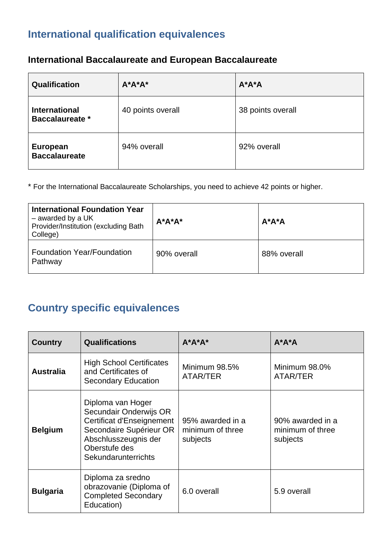# <span id="page-4-0"></span>**International qualification equivalences**

# **International Baccalaureate and European Baccalaureate**

| Qualification                                  | $A^*A^*A^*$       | $A^*A^*A$         |
|------------------------------------------------|-------------------|-------------------|
| <b>International</b><br><b>Baccalaureate</b> * | 40 points overall | 38 points overall |
| <b>European</b><br><b>Baccalaureate</b>        | 94% overall       | 92% overall       |

\* For the International Baccalaureate Scholarships, you need to achieve 42 points or higher.

| <b>International Foundation Year</b><br>$-$ awarded by a UK<br>Provider/Institution (excluding Bath<br>College) | $A^*A^*A^*$ | $A^*A^*A$   |
|-----------------------------------------------------------------------------------------------------------------|-------------|-------------|
| <b>Foundation Year/Foundation</b><br>Pathway                                                                    | 90% overall | 88% overall |

# <span id="page-4-1"></span>**Country specific equivalences**

| <b>Country</b>   | <b>Qualifications</b>                                                                                                                                               | $A^*A^*A^*$                                      | $A^*A^*A$                                        |
|------------------|---------------------------------------------------------------------------------------------------------------------------------------------------------------------|--------------------------------------------------|--------------------------------------------------|
| <b>Australia</b> | <b>High School Certificates</b><br>and Certificates of<br><b>Secondary Education</b>                                                                                | Minimum 98.5%<br>ATAR/TER                        | Minimum 98.0%<br>ATAR/TER                        |
| <b>Belgium</b>   | Diploma van Hoger<br>Secundair Onderwijs OR<br>Certificat d'Enseignement<br>Secondaire Supérieur OR<br>Abschlusszeugnis der<br>Oberstufe des<br>Sekundarunterrichts | 95% awarded in a<br>minimum of three<br>subjects | 90% awarded in a<br>minimum of three<br>subjects |
| <b>Bulgaria</b>  | Diploma za sredno<br>obrazovanie (Diploma of<br><b>Completed Secondary</b><br>Education)                                                                            | 6.0 overall                                      | 5.9 overall                                      |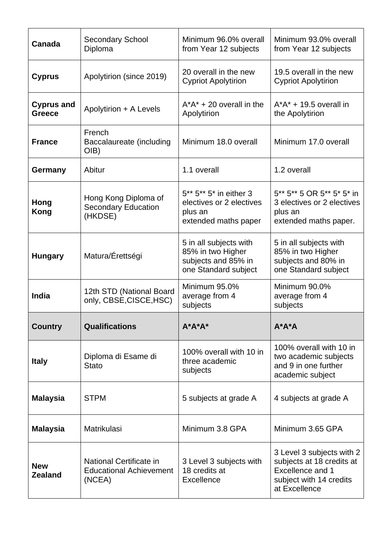| Canada                             | <b>Secondary School</b><br>Diploma                                  | Minimum 96.0% overall<br>from Year 12 subjects                                             | Minimum 93.0% overall<br>from Year 12 subjects                                                                                |
|------------------------------------|---------------------------------------------------------------------|--------------------------------------------------------------------------------------------|-------------------------------------------------------------------------------------------------------------------------------|
| <b>Cyprus</b>                      | Apolytirion (since 2019)                                            | 20 overall in the new<br><b>Cypriot Apolytirion</b>                                        | 19.5 overall in the new<br><b>Cypriot Apolytirion</b>                                                                         |
| <b>Cyprus and</b><br><b>Greece</b> | Apolytirion + A Levels                                              | $A^*A^*$ + 20 overall in the<br>Apolytirion                                                | $A^*A^* + 19.5$ overall in<br>the Apolytirion                                                                                 |
| <b>France</b>                      | French<br>Baccalaureate (including<br>OIB)                          | Minimum 18.0 overall                                                                       | Minimum 17.0 overall                                                                                                          |
| Germany                            | Abitur                                                              | 1.1 overall                                                                                | 1.2 overall                                                                                                                   |
| Hong<br><b>Kong</b>                | Hong Kong Diploma of<br><b>Secondary Education</b><br>(HKDSE)       | 5** 5** 5* in either 3<br>electives or 2 electives<br>plus an<br>extended maths paper      | 5** 5** 5 OR 5** 5* 5* in<br>3 electives or 2 electives<br>plus an<br>extended maths paper.                                   |
| <b>Hungary</b>                     | Matura/Érettségi                                                    | 5 in all subjects with<br>85% in two Higher<br>subjects and 85% in<br>one Standard subject | 5 in all subjects with<br>85% in two Higher<br>subjects and 80% in<br>one Standard subject                                    |
| <b>India</b>                       | 12th STD (National Board<br>only, CBSE, CISCE, HSC)                 | Minimum 95.0%<br>average from 4<br>subjects                                                | Minimum 90.0%<br>average from 4<br>subjects                                                                                   |
| <b>Country</b>                     | <b>Qualifications</b>                                               | <b>A*A*A*</b>                                                                              | $A^*A^*A$                                                                                                                     |
| <b>Italy</b>                       | Diploma di Esame di<br><b>Stato</b>                                 | 100% overall with 10 in<br>three academic<br>subjects                                      | 100% overall with 10 in<br>two academic subjects<br>and 9 in one further<br>academic subject                                  |
| <b>Malaysia</b>                    | <b>STPM</b>                                                         | 5 subjects at grade A                                                                      | 4 subjects at grade A                                                                                                         |
| <b>Malaysia</b>                    | Matrikulasi                                                         | Minimum 3.8 GPA                                                                            | Minimum 3.65 GPA                                                                                                              |
| <b>New</b><br><b>Zealand</b>       | National Certificate in<br><b>Educational Achievement</b><br>(NCEA) | 3 Level 3 subjects with<br>18 credits at<br><b>Excellence</b>                              | 3 Level 3 subjects with 2<br>subjects at 18 credits at<br><b>Excellence and 1</b><br>subject with 14 credits<br>at Excellence |